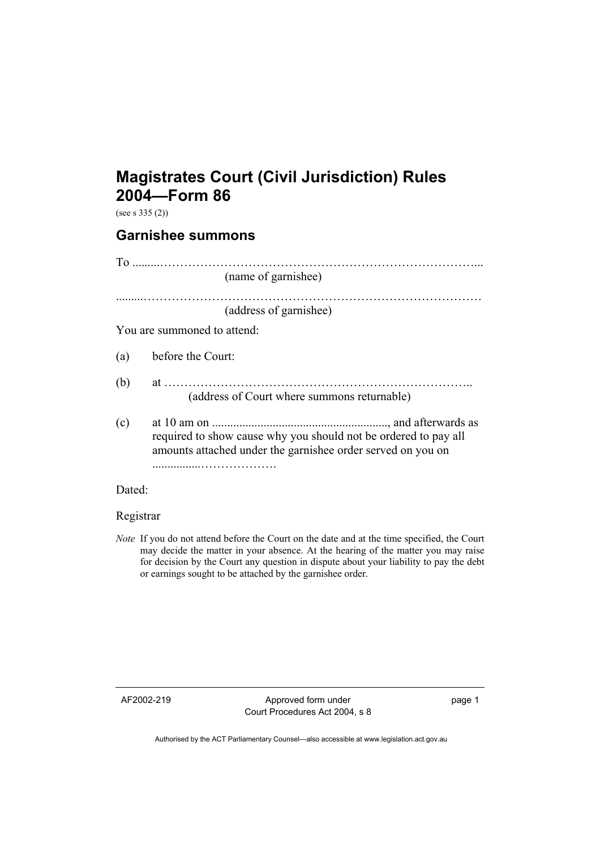## **Magistrates Court (Civil Jurisdiction) Rules 2004—Form 86**

(see s  $335(2)$ )

## **Garnishee summons**

|                             | (name of garnishee)                                                                                                            |
|-----------------------------|--------------------------------------------------------------------------------------------------------------------------------|
|                             | (address of garnishee)                                                                                                         |
| You are summoned to attend: |                                                                                                                                |
| (a)                         | before the Court:                                                                                                              |
| (b)                         | (address of Court where summons returnable)                                                                                    |
| (c)                         | required to show cause why you should not be ordered to pay all<br>amounts attached under the garnishee order served on you on |
| Dated:                      |                                                                                                                                |

Registrar

*Note* If you do not attend before the Court on the date and at the time specified, the Court may decide the matter in your absence. At the hearing of the matter you may raise for decision by the Court any question in dispute about your liability to pay the debt or earnings sought to be attached by the garnishee order.

AF2002-219 Approved form under Court Procedures Act 2004, s 8 page 1

Authorised by the ACT Parliamentary Counsel—also accessible at www.legislation.act.gov.au